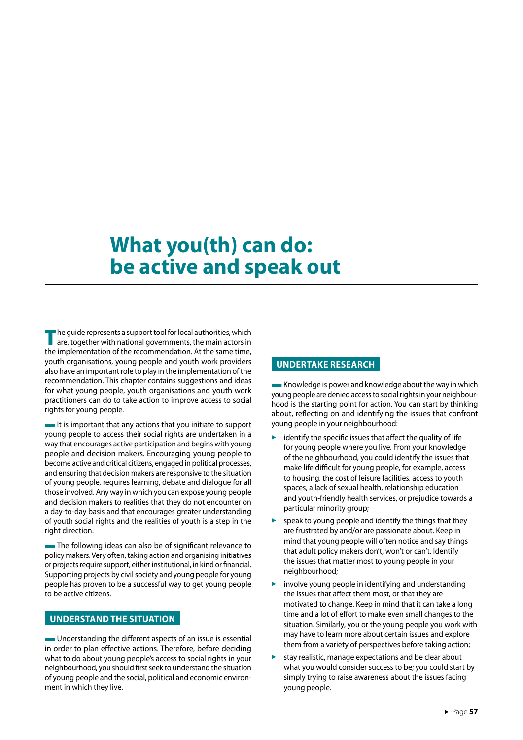# **What you(th) can do: be active and speak out**

The guide represents a support tool for local authorities, which are, together with national governments, the main actors in the implementation of the recommendation. At the same time, youth organisations, young people and youth work providers also have an important role to play in the implementation of the recommendation. This chapter contains suggestions and ideas for what young people, youth organisations and youth work practitioners can do to take action to improve access to social rights for young people.

■It is important that any actions that you initiate to support young people to access their social rights are undertaken in a way that encourages active participation and begins with young people and decision makers. Encouraging young people to become active and critical citizens, engaged in political processes, and ensuring that decision makers are responsive to the situation of young people, requires learning, debate and dialogue for all those involved. Any way in which you can expose young people and decision makers to realities that they do not encounter on a day-to-day basis and that encourages greater understanding of youth social rights and the realities of youth is a step in the right direction.

The following ideas can also be of significant relevance to policy makers. Very often, taking action and organising initiatives or projects require support, either institutional, in kind or financial. Supporting projects by civil society and young people for young people has proven to be a successful way to get young people to be active citizens.

# **UNDERSTAND THE SITUATION**

■Understanding the different aspects of an issue is essential in order to plan effective actions. Therefore, before deciding what to do about young people's access to social rights in your neighbourhood, you should first seek to understand the situation of young people and the social, political and economic environment in which they live.

# **UNDERTAKE RESEARCH**

 $\blacksquare$  Knowledge is power and knowledge about the way in which young people are denied access to social rights in your neighbourhood is the starting point for action. You can start by thinking about, reflecting on and identifying the issues that confront young people in your neighbourhood:

- identify the specific issues that affect the quality of life for young people where you live. From your knowledge of the neighbourhood, you could identify the issues that make life difficult for young people, for example, access to housing, the cost of leisure facilities, access to youth spaces, a lack of sexual health, relationship education and youth-friendly health services, or prejudice towards a particular minority group;
- speak to young people and identify the things that they are frustrated by and/or are passionate about. Keep in mind that young people will often notice and say things that adult policy makers don't, won't or can't. Identify the issues that matter most to young people in your neighbourhood;
- involve young people in identifying and understanding the issues that affect them most, or that they are motivated to change. Keep in mind that it can take a long time and a lot of effort to make even small changes to the situation. Similarly, you or the young people you work with may have to learn more about certain issues and explore them from a variety of perspectives before taking action;
- stay realistic, manage expectations and be clear about what you would consider success to be; you could start by simply trying to raise awareness about the issues facing young people.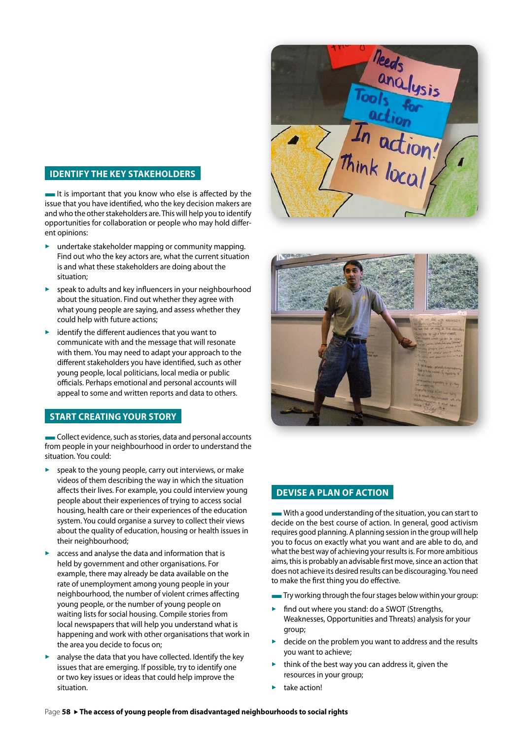## **IDENTIFY THE KEY STAKEHOLDERS**

■It is important that you know who else is affected by the issue that you have identified, who the key decision makers are and who the other stakeholders are. This will help you to identify opportunities for collaboration or people who may hold different opinions:

- 3 undertake stakeholder mapping or community mapping. Find out who the key actors are, what the current situation is and what these stakeholders are doing about the situation;
- $\blacktriangleright$  speak to adults and key influencers in your neighbourhood about the situation. Find out whether they agree with what young people are saying, and assess whether they could help with future actions;
- $\blacktriangleright$  identify the different audiences that you want to communicate with and the message that will resonate with them. You may need to adapt your approach to the different stakeholders you have identified, such as other young people, local politicians, local media or public officials. Perhaps emotional and personal accounts will appeal to some and written reports and data to others.

# **START CREATING YOUR STORY**

■Collect evidence, such as stories, data and personal accounts from people in your neighbourhood in order to understand the situation. You could:

- $\blacktriangleright$  speak to the young people, carry out interviews, or make videos of them describing the way in which the situation affects their lives. For example, you could interview young people about their experiences of trying to access social housing, health care or their experiences of the education system. You could organise a survey to collect their views about the quality of education, housing or health issues in their neighbourhood;
- $\blacktriangleright$  access and analyse the data and information that is held by government and other organisations. For example, there may already be data available on the rate of unemployment among young people in your neighbourhood, the number of violent crimes affecting young people, or the number of young people on waiting lists for social housing. Compile stories from local newspapers that will help you understand what is happening and work with other organisations that work in the area you decide to focus on;
- $\blacktriangleright$  analyse the data that you have collected. Identify the key issues that are emerging. If possible, try to identify one or two key issues or ideas that could help improve the situation.





# **DEVISE A PLAN OF ACTION**

■With a good understanding of the situation, you can start to decide on the best course of action. In general, good activism requires good planning. A planning session in the group will help you to focus on exactly what you want and are able to do, and what the best way of achieving your results is. For more ambitious aims, this is probably an advisable first move, since an action that does not achieve its desired results can be discouraging. You need to make the first thing you do effective.

- **EXTY WOON** Try working through the four stages below within your group:
- find out where you stand: do a SWOT (Strengths, Weaknesses, Opportunities and Threats) analysis for your group;
- 3 decide on the problem you want to address and the results you want to achieve;
- think of the best way you can address it, given the resources in your group;
- take action!